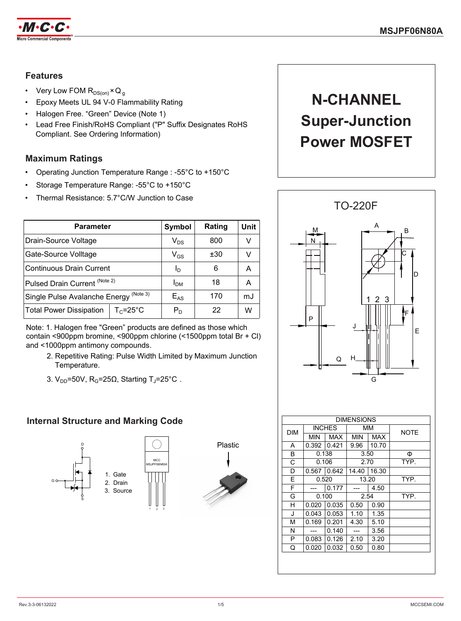

## **Features**

- Very Low FOM  $R_{DS(on)} \times Q_g$
- Epoxy Meets UL 94 V-0 Flammability Rating
- Halogen Free. "Green" Device (Note 1)
- Lead Free Finish/RoHS Compliant ("P" Suffix Designates RoHS Compliant. See Ordering Information)

# **Maximum Ratings**

- Operating Junction Temperature Range : -55°C to +150°C
- Storage Temperature Range: -55°C to +150°C
- Thermal Resistance: 5.7°C/W Junction to Case

| <b>Parameter</b>                                  | Symbol                     | Rating | Unit |   |
|---------------------------------------------------|----------------------------|--------|------|---|
| Drain-Source Voltage                              | $\mathsf{V}_{\mathsf{DS}}$ | 800    | v    |   |
| Gate-Source Volltage                              | $\mathsf{V}_{\mathsf{GS}}$ | ±30    | v    |   |
| ∣Continuous Drain Current                         | Ιŋ                         | 6      | Α    |   |
| Pulsed Drain Current (Note 2)                     | I <sub>DM</sub>            | 18     | А    |   |
| Single Pulse Avalanche Energy <sup>(Note 3)</sup> | $E_{AS}$                   | 170    | mJ   |   |
| Total Power Dissipation                           | $T_c = 25^{\circ}C$        | $P_D$  | 22   | w |
|                                                   |                            |        |      |   |

Note: 1. Halogen free "Green" products are defined as those which contain <900ppm bromine, <900ppm chlorine (<1500ppm total Br + Cl) and <1000ppm antimony compounds.

- 2. Repetitive Rating: Pulse Width Limited by Maximum Junction Temperature.
- 3.  $V_{DD}$ =50V, R<sub>G</sub>=25 $\Omega$ , Starting T<sub>J</sub>=25°C.

# **Internal Structure and Marking Code**





1 2 3



# **N-CHANNEL Super-Junction Power MOSFET**

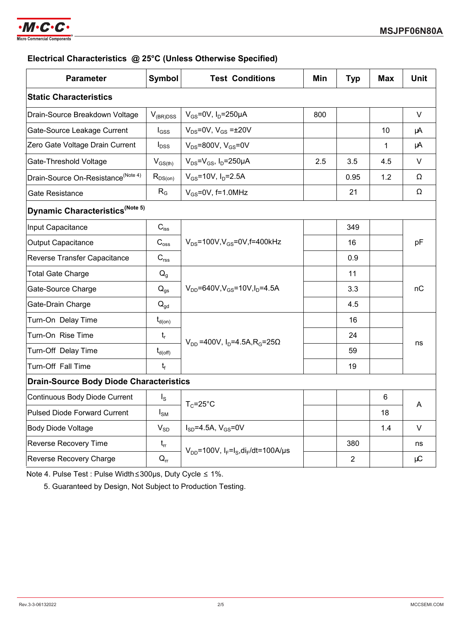

## **Electrical Characteristics @ 25°C (Unless Otherwise Specified)**

| <b>Parameter</b>                               | Symbol                                 | <b>Test Conditions</b>                                    | Min | <b>Typ</b>     | <b>Max</b> | <b>Unit</b> |  |
|------------------------------------------------|----------------------------------------|-----------------------------------------------------------|-----|----------------|------------|-------------|--|
| <b>Static Characteristics</b>                  |                                        |                                                           |     |                |            |             |  |
| Drain-Source Breakdown Voltage                 | $V_{(BR)DSS}$                          | $V_{GS}$ =0V, $I_D$ =250µA                                | 800 |                |            | V           |  |
| Gate-Source Leakage Current                    | $I_{GSS}$                              | $V_{DS} = 0V$ , $V_{GS} = \pm 20V$                        |     |                | 10         | μA          |  |
| Zero Gate Voltage Drain Current                | $I_{\text{DSS}}$                       | $V_{DS}$ =800V, $V_{GS}$ =0V                              |     |                | 1          | μA          |  |
| Gate-Threshold Voltage                         | $V_{GS(th)}$                           | $V_{DS} = V_{GS}$ , $I_D = 250 \mu A$                     | 2.5 | 3.5            | 4.5        | V           |  |
| Drain-Source On-Resistance <sup>(Note 4)</sup> | $R_{DS(on)}$                           | $V_{GS}$ =10V, $I_{D}$ =2.5A                              |     | 0.95           | 1.2        | Ω           |  |
| <b>Gate Resistance</b>                         | $R_G$                                  | $V_{GS}$ =0V, f=1.0MHz                                    |     | 21             |            | Ω           |  |
| Dynamic Characteristics <sup>(Note 5)</sup>    |                                        |                                                           |     |                |            |             |  |
| Input Capacitance                              | $C_{\text{iss}}$                       |                                                           |     | 349            |            | pF          |  |
| <b>Output Capacitance</b>                      | $C_{\rm oss}$                          | $V_{DS}$ =100V, $V_{GS}$ =0V, f=400kHz                    |     | 16             |            |             |  |
| Reverse Transfer Capacitance                   | $C_{\text{rss}}$                       |                                                           |     | 0.9            |            |             |  |
| <b>Total Gate Charge</b>                       | $Q_{q}$                                | $V_{DD} = 640V$ , $V_{GS} = 10V$ , $I_D = 4.5A$           |     | 11             |            | пC          |  |
| Gate-Source Charge                             | $\mathsf{Q}_{\mathsf{gs}}$             |                                                           |     | 3.3            |            |             |  |
| Gate-Drain Charge                              | $Q_{gd}$                               |                                                           |     | 4.5            |            |             |  |
| Turn-On Delay Time                             | $\mathsf{t}_{\mathsf{d}(\mathsf{on})}$ | $V_{DD}$ =400V, $I_D$ =4.5A, R <sub>G</sub> =25Ω          |     | 16             |            |             |  |
| Turn-On Rise Time                              | $t_{r}$                                |                                                           |     | 24             |            | ns          |  |
| Turn-Off Delay Time                            | $t_{d(\text{off})}$                    |                                                           |     | 59             |            |             |  |
| Turn-Off Fall Time                             | t <sub>f</sub>                         |                                                           |     | 19             |            |             |  |
| <b>Drain-Source Body Diode Characteristics</b> |                                        |                                                           |     |                |            |             |  |
| <b>Continuous Body Diode Current</b>           | $I_{\rm S}$                            |                                                           |     |                | 6          |             |  |
| <b>Pulsed Diode Forward Current</b>            | $I_{\text{SM}}$                        | $T_c = 25$ °C                                             |     |                | 18         | A           |  |
| <b>Body Diode Voltage</b>                      | $V_{SD}$                               | $I_{SD} = 4.5A, V_{GS} = 0V$                              |     |                | 1.4        | $\vee$      |  |
| Reverse Recovery Time                          | $t_{rr}$                               |                                                           |     | 380            |            | ns          |  |
| Reverse Recovery Charge                        | $Q_{rr}$                               | $V_{DD}$ =100V, $I_F = I_S$ , di <sub>F</sub> /dt=100A/µs |     | $\overline{2}$ |            | μC          |  |

Note 4. Pulse Test : Pulse Width≤300μs, Duty Cycle ≤ 1%.

5. Guaranteed by Design, Not Subject to Production Testing.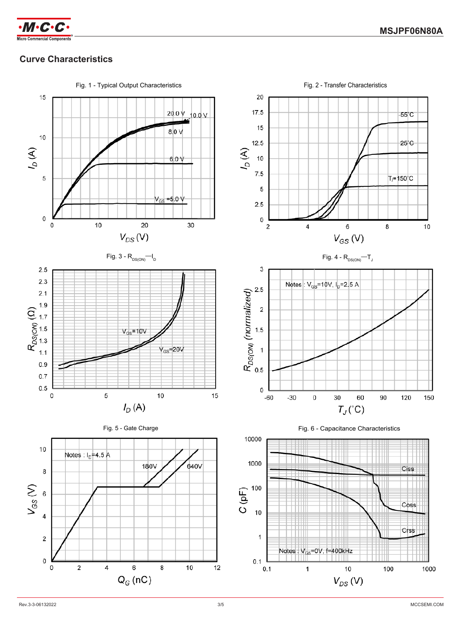

# **Curve Characteristics**

Fig. 1 - Typical Output Characteristics **Fig. 2 - Transfer Characteristics** Fig. 2 - Transfer Characteristics









Fig. 6 - Capacitance Characteristics

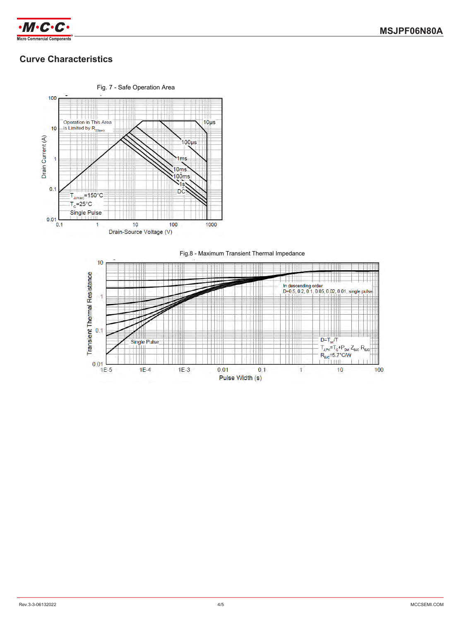

# **Curve Characteristics**



Fig.8 - Maximum Transient Thermal Impedance